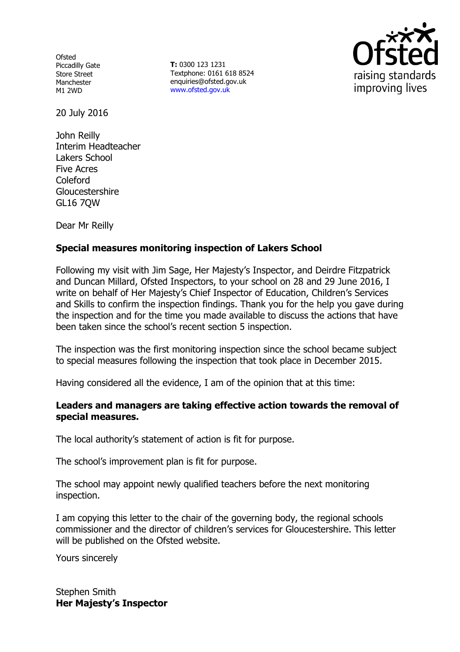**Ofsted** Piccadilly Gate Store Street Manchester M1 2WD

**T:** 0300 123 1231 Textphone: 0161 618 8524 enquiries@ofsted.gov.uk www.ofsted.gov.uk



20 July 2016

John Reilly Interim Headteacher Lakers School Five Acres Coleford Gloucestershire GL16 7QW

Dear Mr Reilly

# **Special measures monitoring inspection of Lakers School**

Following my visit with Jim Sage, Her Majesty's Inspector, and Deirdre Fitzpatrick and Duncan Millard, Ofsted Inspectors, to your school on 28 and 29 June 2016, I write on behalf of Her Majesty's Chief Inspector of Education, Children's Services and Skills to confirm the inspection findings. Thank you for the help you gave during the inspection and for the time you made available to discuss the actions that have been taken since the school's recent section 5 inspection.

The inspection was the first monitoring inspection since the school became subject to special measures following the inspection that took place in December 2015.

Having considered all the evidence, I am of the opinion that at this time:

## **Leaders and managers are taking effective action towards the removal of special measures.**

The local authority's statement of action is fit for purpose.

The school's improvement plan is fit for purpose.

The school may appoint newly qualified teachers before the next monitoring inspection.

I am copying this letter to the chair of the governing body, the regional schools commissioner and the director of children's services for Gloucestershire. This letter will be published on the Ofsted website.

Yours sincerely

Stephen Smith **Her Majesty's Inspector**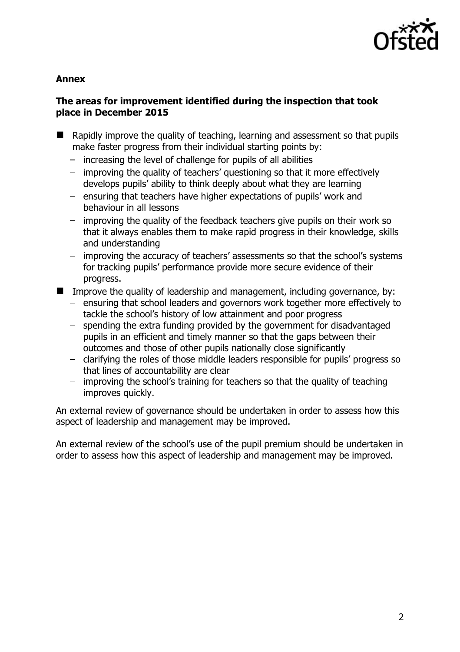

## **Annex**

# **The areas for improvement identified during the inspection that took place in December 2015**

- $\blacksquare$  Rapidly improve the quality of teaching, learning and assessment so that pupils make faster progress from their individual starting points by:
	- $-$  increasing the level of challenge for pupils of all abilities
	- improving the quality of teachers' questioning so that it more effectively develops pupils' ability to think deeply about what they are learning
	- $-$  ensuring that teachers have higher expectations of pupils' work and behaviour in all lessons
	- improving the quality of the feedback teachers give pupils on their work so that it always enables them to make rapid progress in their knowledge, skills and understanding
	- improving the accuracy of teachers' assessments so that the school's systems for tracking pupils' performance provide more secure evidence of their progress.
- Improve the quality of leadership and management, including governance, by:
	- ensuring that school leaders and governors work together more effectively to tackle the school's history of low attainment and poor progress
	- spending the extra funding provided by the government for disadvantaged pupils in an efficient and timely manner so that the gaps between their outcomes and those of other pupils nationally close significantly
	- clarifying the roles of those middle leaders responsible for pupils' progress so that lines of accountability are clear
	- improving the school's training for teachers so that the quality of teaching improves quickly.

An external review of governance should be undertaken in order to assess how this aspect of leadership and management may be improved.

An external review of the school's use of the pupil premium should be undertaken in order to assess how this aspect of leadership and management may be improved.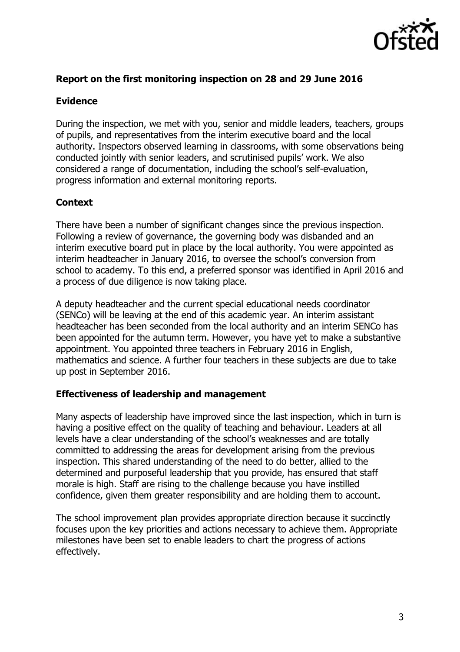

# **Report on the first monitoring inspection on 28 and 29 June 2016**

## **Evidence**

During the inspection, we met with you, senior and middle leaders, teachers, groups of pupils, and representatives from the interim executive board and the local authority. Inspectors observed learning in classrooms, with some observations being conducted jointly with senior leaders, and scrutinised pupils' work. We also considered a range of documentation, including the school's self-evaluation, progress information and external monitoring reports.

# **Context**

There have been a number of significant changes since the previous inspection. Following a review of governance, the governing body was disbanded and an interim executive board put in place by the local authority. You were appointed as interim headteacher in January 2016, to oversee the school's conversion from school to academy. To this end, a preferred sponsor was identified in April 2016 and a process of due diligence is now taking place.

A deputy headteacher and the current special educational needs coordinator (SENCo) will be leaving at the end of this academic year. An interim assistant headteacher has been seconded from the local authority and an interim SENCo has been appointed for the autumn term. However, you have yet to make a substantive appointment. You appointed three teachers in February 2016 in English, mathematics and science. A further four teachers in these subjects are due to take up post in September 2016.

## **Effectiveness of leadership and management**

Many aspects of leadership have improved since the last inspection, which in turn is having a positive effect on the quality of teaching and behaviour. Leaders at all levels have a clear understanding of the school's weaknesses and are totally committed to addressing the areas for development arising from the previous inspection. This shared understanding of the need to do better, allied to the determined and purposeful leadership that you provide, has ensured that staff morale is high. Staff are rising to the challenge because you have instilled confidence, given them greater responsibility and are holding them to account.

The school improvement plan provides appropriate direction because it succinctly focuses upon the key priorities and actions necessary to achieve them. Appropriate milestones have been set to enable leaders to chart the progress of actions effectively.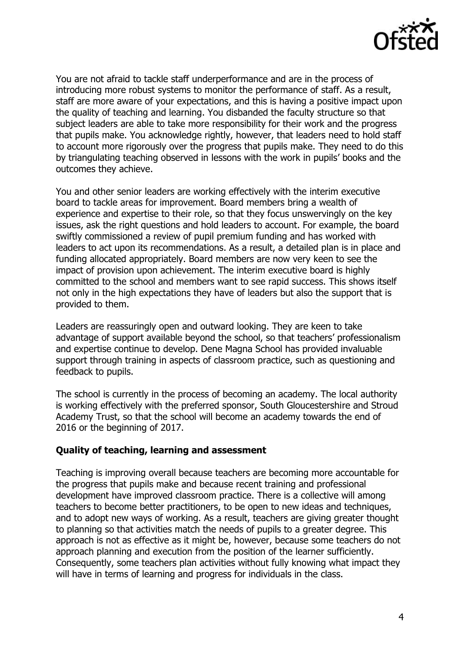

You are not afraid to tackle staff underperformance and are in the process of introducing more robust systems to monitor the performance of staff. As a result, staff are more aware of your expectations, and this is having a positive impact upon the quality of teaching and learning. You disbanded the faculty structure so that subject leaders are able to take more responsibility for their work and the progress that pupils make. You acknowledge rightly, however, that leaders need to hold staff to account more rigorously over the progress that pupils make. They need to do this by triangulating teaching observed in lessons with the work in pupils' books and the outcomes they achieve.

You and other senior leaders are working effectively with the interim executive board to tackle areas for improvement. Board members bring a wealth of experience and expertise to their role, so that they focus unswervingly on the key issues, ask the right questions and hold leaders to account. For example, the board swiftly commissioned a review of pupil premium funding and has worked with leaders to act upon its recommendations. As a result, a detailed plan is in place and funding allocated appropriately. Board members are now very keen to see the impact of provision upon achievement. The interim executive board is highly committed to the school and members want to see rapid success. This shows itself not only in the high expectations they have of leaders but also the support that is provided to them.

Leaders are reassuringly open and outward looking. They are keen to take advantage of support available beyond the school, so that teachers' professionalism and expertise continue to develop. Dene Magna School has provided invaluable support through training in aspects of classroom practice, such as questioning and feedback to pupils.

The school is currently in the process of becoming an academy. The local authority is working effectively with the preferred sponsor, South Gloucestershire and Stroud Academy Trust, so that the school will become an academy towards the end of 2016 or the beginning of 2017.

## **Quality of teaching, learning and assessment**

Teaching is improving overall because teachers are becoming more accountable for the progress that pupils make and because recent training and professional development have improved classroom practice. There is a collective will among teachers to become better practitioners, to be open to new ideas and techniques, and to adopt new ways of working. As a result, teachers are giving greater thought to planning so that activities match the needs of pupils to a greater degree. This approach is not as effective as it might be, however, because some teachers do not approach planning and execution from the position of the learner sufficiently. Consequently, some teachers plan activities without fully knowing what impact they will have in terms of learning and progress for individuals in the class.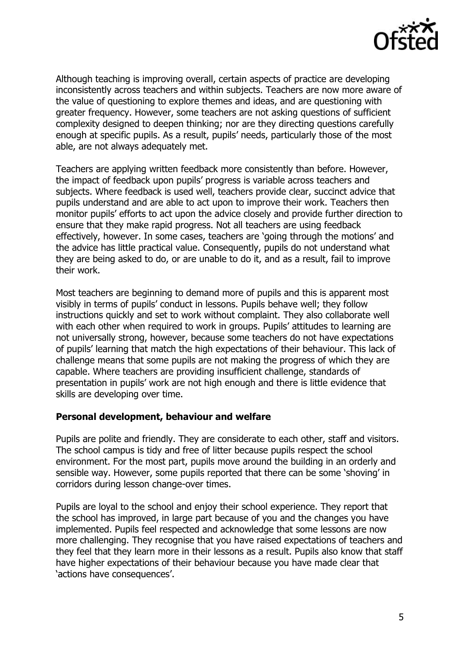

Although teaching is improving overall, certain aspects of practice are developing inconsistently across teachers and within subjects. Teachers are now more aware of the value of questioning to explore themes and ideas, and are questioning with greater frequency. However, some teachers are not asking questions of sufficient complexity designed to deepen thinking; nor are they directing questions carefully enough at specific pupils. As a result, pupils' needs, particularly those of the most able, are not always adequately met.

Teachers are applying written feedback more consistently than before. However, the impact of feedback upon pupils' progress is variable across teachers and subjects. Where feedback is used well, teachers provide clear, succinct advice that pupils understand and are able to act upon to improve their work. Teachers then monitor pupils' efforts to act upon the advice closely and provide further direction to ensure that they make rapid progress. Not all teachers are using feedback effectively, however. In some cases, teachers are 'going through the motions' and the advice has little practical value. Consequently, pupils do not understand what they are being asked to do, or are unable to do it, and as a result, fail to improve their work.

Most teachers are beginning to demand more of pupils and this is apparent most visibly in terms of pupils' conduct in lessons. Pupils behave well; they follow instructions quickly and set to work without complaint. They also collaborate well with each other when required to work in groups. Pupils' attitudes to learning are not universally strong, however, because some teachers do not have expectations of pupils' learning that match the high expectations of their behaviour. This lack of challenge means that some pupils are not making the progress of which they are capable. Where teachers are providing insufficient challenge, standards of presentation in pupils' work are not high enough and there is little evidence that skills are developing over time.

#### **Personal development, behaviour and welfare**

Pupils are polite and friendly. They are considerate to each other, staff and visitors. The school campus is tidy and free of litter because pupils respect the school environment. For the most part, pupils move around the building in an orderly and sensible way. However, some pupils reported that there can be some 'shoving' in corridors during lesson change-over times.

Pupils are loyal to the school and enjoy their school experience. They report that the school has improved, in large part because of you and the changes you have implemented. Pupils feel respected and acknowledge that some lessons are now more challenging. They recognise that you have raised expectations of teachers and they feel that they learn more in their lessons as a result. Pupils also know that staff have higher expectations of their behaviour because you have made clear that 'actions have consequences'.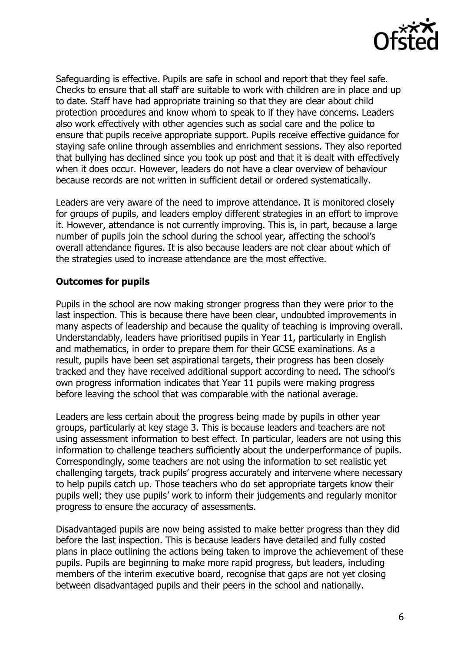

Safeguarding is effective. Pupils are safe in school and report that they feel safe. Checks to ensure that all staff are suitable to work with children are in place and up to date. Staff have had appropriate training so that they are clear about child protection procedures and know whom to speak to if they have concerns. Leaders also work effectively with other agencies such as social care and the police to ensure that pupils receive appropriate support. Pupils receive effective guidance for staying safe online through assemblies and enrichment sessions. They also reported that bullying has declined since you took up post and that it is dealt with effectively when it does occur. However, leaders do not have a clear overview of behaviour because records are not written in sufficient detail or ordered systematically.

Leaders are very aware of the need to improve attendance. It is monitored closely for groups of pupils, and leaders employ different strategies in an effort to improve it. However, attendance is not currently improving. This is, in part, because a large number of pupils join the school during the school year, affecting the school's overall attendance figures. It is also because leaders are not clear about which of the strategies used to increase attendance are the most effective.

## **Outcomes for pupils**

Pupils in the school are now making stronger progress than they were prior to the last inspection. This is because there have been clear, undoubted improvements in many aspects of leadership and because the quality of teaching is improving overall. Understandably, leaders have prioritised pupils in Year 11, particularly in English and mathematics, in order to prepare them for their GCSE examinations. As a result, pupils have been set aspirational targets, their progress has been closely tracked and they have received additional support according to need. The school's own progress information indicates that Year 11 pupils were making progress before leaving the school that was comparable with the national average.

Leaders are less certain about the progress being made by pupils in other year groups, particularly at key stage 3. This is because leaders and teachers are not using assessment information to best effect. In particular, leaders are not using this information to challenge teachers sufficiently about the underperformance of pupils. Correspondingly, some teachers are not using the information to set realistic yet challenging targets, track pupils' progress accurately and intervene where necessary to help pupils catch up. Those teachers who do set appropriate targets know their pupils well; they use pupils' work to inform their judgements and regularly monitor progress to ensure the accuracy of assessments.

Disadvantaged pupils are now being assisted to make better progress than they did before the last inspection. This is because leaders have detailed and fully costed plans in place outlining the actions being taken to improve the achievement of these pupils. Pupils are beginning to make more rapid progress, but leaders, including members of the interim executive board, recognise that gaps are not yet closing between disadvantaged pupils and their peers in the school and nationally.